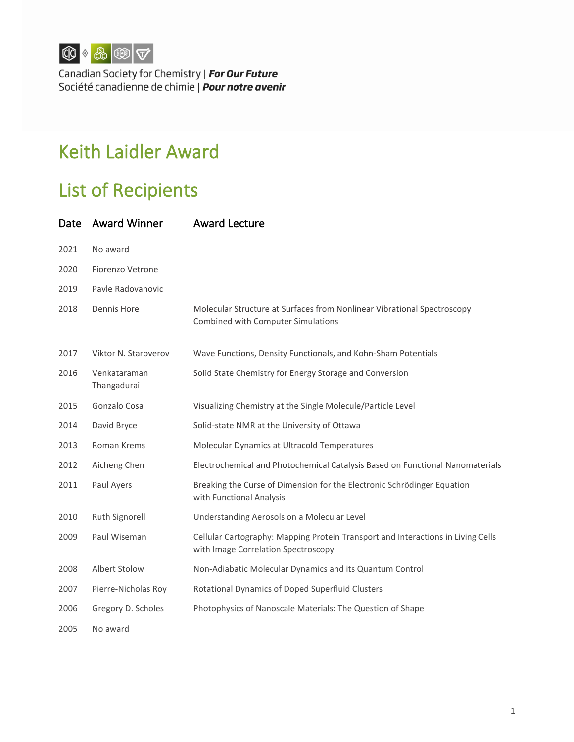

Canadian Society for Chemistry | For Our Future Société canadienne de chimie | **Pour notre avenir** 

## Keith Laidler Award

## List of Recipients

| Date | <b>Award Winner</b>         | <b>Award Lecture</b>                                                                                                    |
|------|-----------------------------|-------------------------------------------------------------------------------------------------------------------------|
| 2021 | No award                    |                                                                                                                         |
| 2020 | Fiorenzo Vetrone            |                                                                                                                         |
| 2019 | Payle Radovanovic           |                                                                                                                         |
| 2018 | Dennis Hore                 | Molecular Structure at Surfaces from Nonlinear Vibrational Spectroscopy<br>Combined with Computer Simulations           |
| 2017 | Viktor N. Staroverov        | Wave Functions, Density Functionals, and Kohn-Sham Potentials                                                           |
| 2016 | Venkataraman<br>Thangadurai | Solid State Chemistry for Energy Storage and Conversion                                                                 |
| 2015 | Gonzalo Cosa                | Visualizing Chemistry at the Single Molecule/Particle Level                                                             |
| 2014 | David Bryce                 | Solid-state NMR at the University of Ottawa                                                                             |
| 2013 | Roman Krems                 | Molecular Dynamics at Ultracold Temperatures                                                                            |
| 2012 | Aicheng Chen                | Electrochemical and Photochemical Catalysis Based on Functional Nanomaterials                                           |
| 2011 | Paul Ayers                  | Breaking the Curse of Dimension for the Electronic Schrödinger Equation<br>with Functional Analysis                     |
| 2010 | Ruth Signorell              | Understanding Aerosols on a Molecular Level                                                                             |
| 2009 | Paul Wiseman                | Cellular Cartography: Mapping Protein Transport and Interactions in Living Cells<br>with Image Correlation Spectroscopy |
| 2008 | Albert Stolow               | Non-Adiabatic Molecular Dynamics and its Quantum Control                                                                |
| 2007 | Pierre-Nicholas Roy         | Rotational Dynamics of Doped Superfluid Clusters                                                                        |
| 2006 | Gregory D. Scholes          | Photophysics of Nanoscale Materials: The Question of Shape                                                              |
| 2005 | No award                    |                                                                                                                         |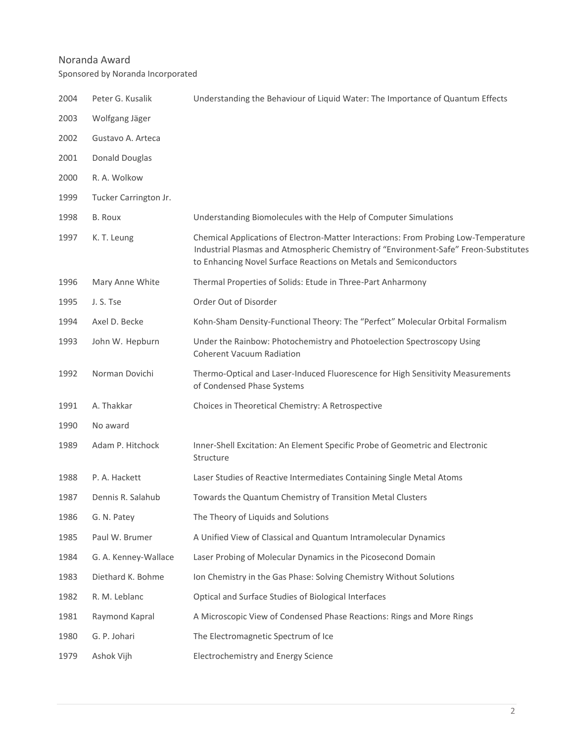## Noranda Award

Sponsored by Noranda Incorporated

| 2004 | Peter G. Kusalik      | Understanding the Behaviour of Liquid Water: The Importance of Quantum Effects                                                                                                                                                                   |
|------|-----------------------|--------------------------------------------------------------------------------------------------------------------------------------------------------------------------------------------------------------------------------------------------|
| 2003 | Wolfgang Jäger        |                                                                                                                                                                                                                                                  |
| 2002 | Gustavo A. Arteca     |                                                                                                                                                                                                                                                  |
| 2001 | <b>Donald Douglas</b> |                                                                                                                                                                                                                                                  |
| 2000 | R. A. Wolkow          |                                                                                                                                                                                                                                                  |
| 1999 | Tucker Carrington Jr. |                                                                                                                                                                                                                                                  |
| 1998 | <b>B.</b> Roux        | Understanding Biomolecules with the Help of Computer Simulations                                                                                                                                                                                 |
| 1997 | K. T. Leung           | Chemical Applications of Electron-Matter Interactions: From Probing Low-Temperature<br>Industrial Plasmas and Atmospheric Chemistry of "Environment-Safe" Freon-Substitutes<br>to Enhancing Novel Surface Reactions on Metals and Semiconductors |
| 1996 | Mary Anne White       | Thermal Properties of Solids: Etude in Three-Part Anharmony                                                                                                                                                                                      |
| 1995 | J. S. Tse             | Order Out of Disorder                                                                                                                                                                                                                            |
| 1994 | Axel D. Becke         | Kohn-Sham Density-Functional Theory: The "Perfect" Molecular Orbital Formalism                                                                                                                                                                   |
| 1993 | John W. Hepburn       | Under the Rainbow: Photochemistry and Photoelection Spectroscopy Using<br><b>Coherent Vacuum Radiation</b>                                                                                                                                       |
| 1992 | Norman Dovichi        | Thermo-Optical and Laser-Induced Fluorescence for High Sensitivity Measurements<br>of Condensed Phase Systems                                                                                                                                    |
| 1991 | A. Thakkar            | Choices in Theoretical Chemistry: A Retrospective                                                                                                                                                                                                |
| 1990 | No award              |                                                                                                                                                                                                                                                  |
| 1989 | Adam P. Hitchock      | Inner-Shell Excitation: An Element Specific Probe of Geometric and Electronic<br>Structure                                                                                                                                                       |
| 1988 | P. A. Hackett         | Laser Studies of Reactive Intermediates Containing Single Metal Atoms                                                                                                                                                                            |
| 1987 | Dennis R. Salahub     | Towards the Quantum Chemistry of Transition Metal Clusters                                                                                                                                                                                       |
| 1986 | G. N. Patey           | The Theory of Liquids and Solutions                                                                                                                                                                                                              |
| 1985 | Paul W. Brumer        | A Unified View of Classical and Quantum Intramolecular Dynamics                                                                                                                                                                                  |
| 1984 | G. A. Kenney-Wallace  | Laser Probing of Molecular Dynamics in the Picosecond Domain                                                                                                                                                                                     |
| 1983 | Diethard K. Bohme     | Ion Chemistry in the Gas Phase: Solving Chemistry Without Solutions                                                                                                                                                                              |
| 1982 | R. M. Leblanc         | Optical and Surface Studies of Biological Interfaces                                                                                                                                                                                             |
| 1981 | Raymond Kapral        | A Microscopic View of Condensed Phase Reactions: Rings and More Rings                                                                                                                                                                            |
| 1980 | G. P. Johari          | The Electromagnetic Spectrum of Ice                                                                                                                                                                                                              |
| 1979 | Ashok Vijh            | Electrochemistry and Energy Science                                                                                                                                                                                                              |